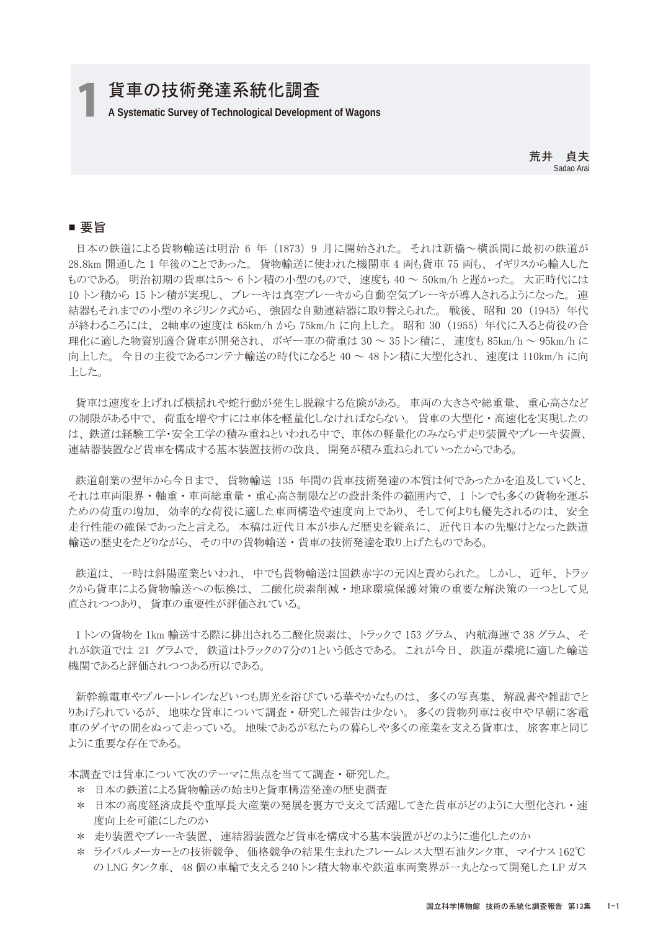# 1 **A Systematic Survey of Technological Development of Wagons** 貨車の技術発達系統化調査

荒井 貞夫 Sadao Arai

### ■ 要旨

 日本の鉄道による貨物輸送は明治 6 年 (1873) 9 月に開始された。 それは新橋~横浜間に最初の鉄道が 28.8km 開通した 1 年後のことであった。 貨物輸送に使われた機関車 4 両も貨車 75 両も、 イギリスから輸入した ものである。 明治初期の貨車は5~ 6 トン積の小型のもので、 速度も 40 ~ 50km/h と遅かった。 大正時代には 10 トン積から 15 トン積が実現し、 ブレーキは真空ブレーキから自動空気ブレーキが導入されるようになった。 連 結器もそれまでの小型のネジリンク式から、 強固な自動連結器に取り替えられた。 戦後、 昭和 20 (1945) 年代 が終わるころには、 2軸車の速度は 65km/h から 75km/h に向上した。 昭和 30 (1955) 年代に入ると荷役の合 理化に適した物資別適合貨車が開発され、 ボギー車の荷重は 30 ~ 35 トン積に、 速度も 85km/h ~ 95km/h に 向上した。 今日の主役であるコンテナ輸送の時代になると 40 ~ 48 トン積に大型化され、 速度は 110km/h に向 上した。

 貨車は速度を上げれば横揺れや蛇行動が発生し脱線する危険がある。 車両の大きさや総重量、 重心高さなど の制限がある中で、 荷重を増やすには車体を軽量化しなければならない。 貨車の大型化·高速化を実現したの は、 鉄道は経験工学・安全工学の積み重ねといわれる中で、 車体の軽量化のみならず走り装置やブレーキ装置、 連結器装置など貨車を構成する基本装置技術の改良、 開発が積み重ねられていったからである。

 鉄道創業の翌年から今日まで、 貨物輸送 135 年間の貨車技術発達の本質は何であったかを追及していくと、 それは車両限界 ・ 軸重 ・ 車両総重量 ・ 重心高さ制限などの設計条件の範囲内で、 1 トンでも多くの貨物を運ぶ ための荷重の増加、 効率的な荷役に適した車両構造や速度向上であり、 そして何よりも優先されるのは、 安全 走行性能の確保であったと言える。 本稿は近代日本が歩んだ歴史を縦糸に、 近代日本の先駆けとなった鉄道 輸送の歴史をたどりながら、 その中の貨物輸送 ・ 貨車の技術発達を取り上げたものである。

 鉄道は、 一時は斜陽産業といわれ、 中でも貨物輸送は国鉄赤字の元凶と責められた。 しかし、 近年、 トラッ クから貨車による貨物輸送への転換は、 二酸化炭素削減 ・ 地球環境保護対策の重要な解決策の一つとして見 直されつつあり、 貨車の重要性が評価されている。

 1 トンの貨物を 1km 輸送する際に排出される二酸化炭素は、 トラックで 153 グラム、 内航海運で 38 グラム、 そ れが鉄道では 21 グラムで、 鉄道はトラックの7分の1という低さである。 これが今日、 鉄道が環境に適した輸送 機関であると評価されつつある所以である。

 新幹線電車やブルートレインなどいつも脚光を浴びている華やかなものは、 多くの写真集、 解説書や雑誌でと りあげられているが、 地味な貨車について調査 ・ 研究した報告は少ない。 多くの貨物列車は夜中や早朝に客電 車のダイヤの間をぬって走っている。 地味であるが私たちの暮らしや多くの産業を支える貨車は、 旅客車と同じ ように重要な存在である。

本調査では貨車について次のテーマに焦点を当てて調査 ・ 研究した。

- \* 日本の鉄道による貨物輸送の始まりと貨車構造発達の歴史調査
- \* 日本の高度経済成長や重厚長大産業の発展を裏方で支えて活躍してきた貨車がどのように大型化され・速 度向上を可能にしたのか
- \* 走り装置やブレーキ装置、 連結器装置など貨車を構成する基本装置がどのように進化したのか
- \* ライバルメーカーとの技術競争、 価格競争の結果生まれたフレームレス大型石油タンク車、 マイナス 162℃ の LNG タンク車、 48 個の車輪で支える 240 トン積大物車や鉄道車両業界が一丸となって開発した LP ガス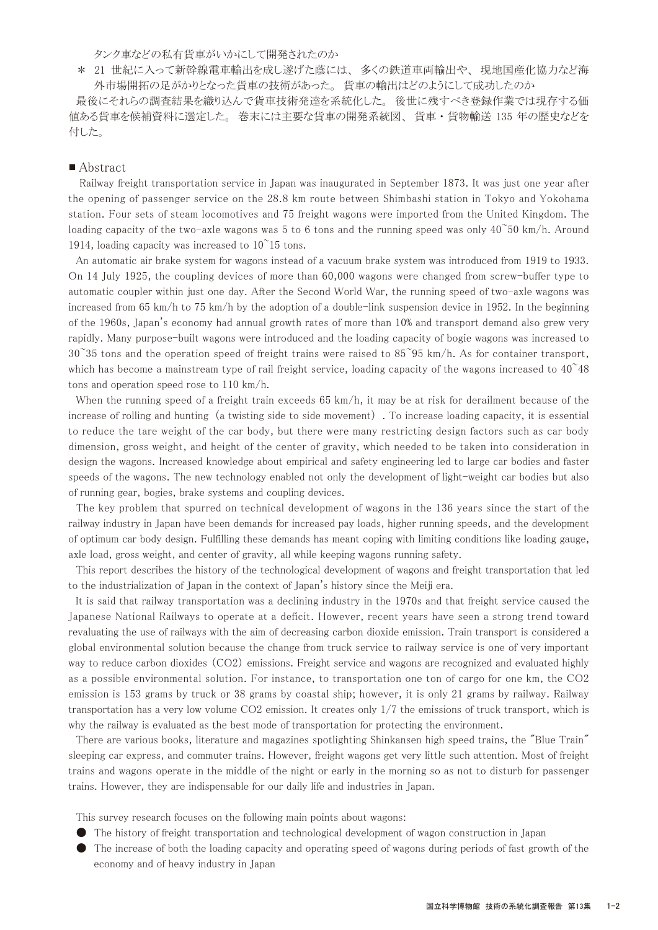タンク車などの私有貨車がいかにして開発されたのか

 \* 21 世紀に入って新幹線電車輸出を成し遂げた蔭には、 多くの鉄道車両輸出や、 現地国産化協力など海 外市場開拓の足がかりとなった貨車の技術があった。 貨車の輸出はどのようにして成功したのか

 最後にそれらの調査結果を織り込んで貨車技術発達を系統化した。 後世に残すべき登録作業では現存する価 値ある貨車を候補資料に選定した。 巻末には主要な貨車の開発系統図、 貨車 ・ 貨物輸送 135 年の歴史などを 付した。

#### ■ Abstract

 Railway freight transportation service in Japan was inaugurated in September 1873. It was just one year after the opening of passenger service on the 28.8 km route between Shimbashi station in Tokyo and Yokohama station. Four sets of steam locomotives and 75 freight wagons were imported from the United Kingdom. The loading capacity of the two-axle wagons was 5 to 6 tons and the running speed was only  $40^{\circ}50$  km/h. Around 1914, loading capacity was increased to  $10^{\degree}15$  tons.

 An automatic air brake system for wagons instead of a vacuum brake system was introduced from 1919 to 1933. On 14 July 1925, the coupling devices of more than 60,000 wagons were changed from screw-buffer type to automatic coupler within just one day. After the Second World War, the running speed of two-axle wagons was increased from 65 km/h to 75 km/h by the adoption of a double-link suspension device in 1952. In the beginning of the 1960s, Japan's economy had annual growth rates of more than 10% and transport demand also grew very rapidly. Many purpose-built wagons were introduced and the loading capacity of bogie wagons was increased to  $30^{\circ}35$  tons and the operation speed of freight trains were raised to  $85^{\circ}95$  km/h. As for container transport, which has become a mainstream type of rail freight service, loading capacity of the wagons increased to  $40^{\circ}48$ tons and operation speed rose to 110 km/h.

When the running speed of a freight train exceeds 65 km/h, it may be at risk for derailment because of the increase of rolling and hunting (a twisting side to side movement) . To increase loading capacity, it is essential to reduce the tare weight of the car body, but there were many restricting design factors such as car body dimension, gross weight, and height of the center of gravity, which needed to be taken into consideration in design the wagons. Increased knowledge about empirical and safety engineering led to large car bodies and faster speeds of the wagons. The new technology enabled not only the development of light-weight car bodies but also of running gear, bogies, brake systems and coupling devices.

 The key problem that spurred on technical development of wagons in the 136 years since the start of the railway industry in Japan have been demands for increased pay loads, higher running speeds, and the development of optimum car body design. Fulfilling these demands has meant coping with limiting conditions like loading gauge, axle load, gross weight, and center of gravity, all while keeping wagons running safety.

 This report describes the history of the technological development of wagons and freight transportation that led to the industrialization of Japan in the context of Japan's history since the Meiji era.

 It is said that railway transportation was a declining industry in the 1970s and that freight service caused the Japanese National Railways to operate at a deficit. However, recent years have seen a strong trend toward revaluating the use of railways with the aim of decreasing carbon dioxide emission. Train transport is considered a global environmental solution because the change from truck service to railway service is one of very important way to reduce carbon dioxides (CO2) emissions. Freight service and wagons are recognized and evaluated highly as a possible environmental solution. For instance, to transportation one ton of cargo for one km, the CO2 emission is 153 grams by truck or 38 grams by coastal ship; however, it is only 21 grams by railway. Railway transportation has a very low volume CO2 emission. It creates only 1/7 the emissions of truck transport, which is why the railway is evaluated as the best mode of transportation for protecting the environment.

 There are various books, literature and magazines spotlighting Shinkansen high speed trains, the "Blue Train" sleeping car express, and commuter trains. However, freight wagons get very little such attention. Most of freight trains and wagons operate in the middle of the night or early in the morning so as not to disturb for passenger trains. However, they are indispensable for our daily life and industries in Japan.

This survey research focuses on the following main points about wagons:

- The history of freight transportation and technological development of wagon construction in Japan
- The increase of both the loading capacity and operating speed of wagons during periods of fast growth of the economy and of heavy industry in Japan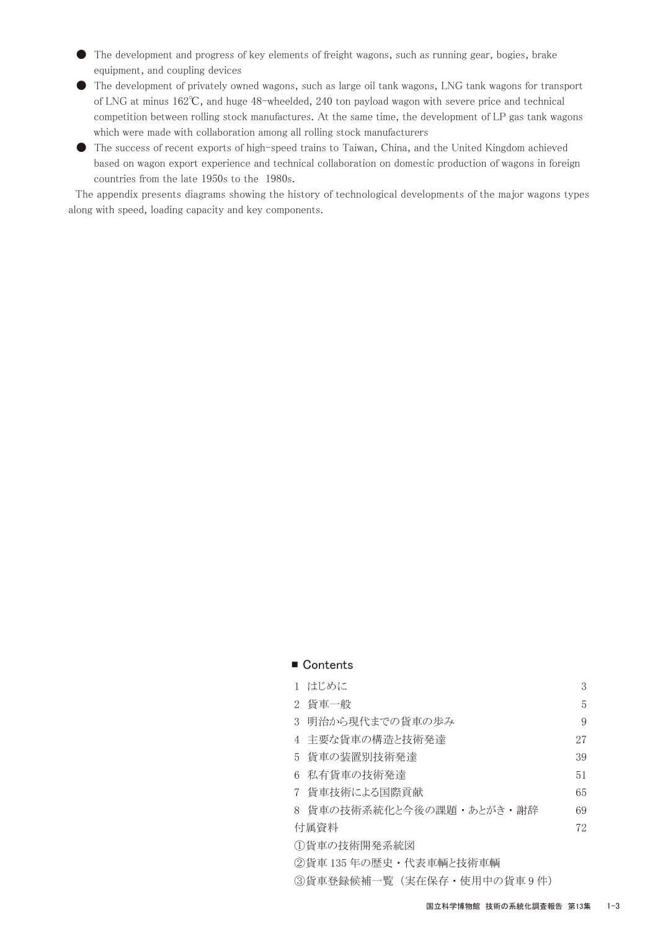- The development and progress of key elements of freight wagons, such as running gear, bogies, brake equipment, and coupling devices
- The development of privately owned wagons, such as large oil tank wagons, LNG tank wagons for transport of LNG at minus 162℃, and huge 48-wheelded, 240 ton payload wagon with severe price and technical competition between rolling stock manufactures. At the same time, the development of LP gas tank wagons which were made with collaboration among all rolling stock manufacturers
- The success of recent exports of high-speed trains to Taiwan, China, and the United Kingdom achieved based on wagon export experience and technical collaboration on domestic production of wagons in foreign countries from the late 1950s to the 1980s.

 The appendix presents diagrams showing the history of technological developments of the major wagons types along with speed, loading capacity and key components.

#### ■ Contents

|                                      | 1 はじめに                   | 3  |  |
|--------------------------------------|--------------------------|----|--|
|                                      | 2 貨車一般                   | 5. |  |
|                                      | 3 明治から現代までの貨車の歩み         | 9  |  |
|                                      | 4 主要な貨車の構造と技術発達          | 27 |  |
|                                      | 5 貨車の装置別技術発達             | 39 |  |
|                                      | 6 私有貨車の技術発達              | 51 |  |
|                                      | 7 貨車技術による国際貢献            | 65 |  |
|                                      | 8 貨車の技術系統化と今後の課題・あとがき・謝辞 | 69 |  |
| 付属資料                                 |                          | 72 |  |
| ①貨車の技術開発系統図                          |                          |    |  |
| ◎ 仏士 : ○= 左 ◇ 圧 +   小 + +++1 エムビ +++ |                          |    |  |

②貨車 135 年の歴史 ・ 代表車輌と技術車輌

③貨車登録候補一覧 (実在保存 ・ 使用中の貨車 9 件)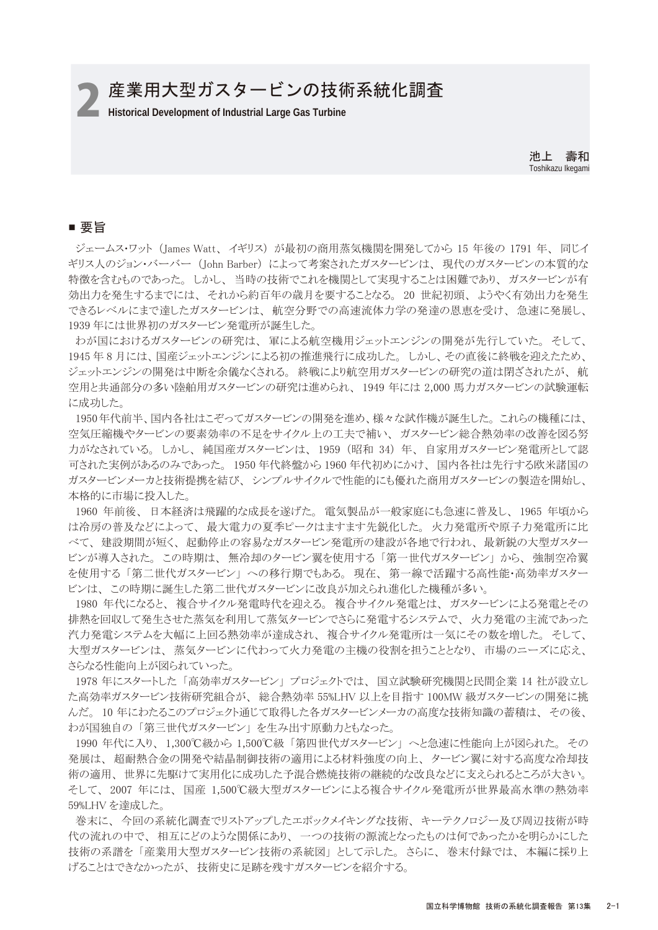**2 産業用大型ガスタービンの技術系統化調査** 

池上 壽和 Toshikazu Ikegami

## ■ 要旨

 ジェームス・ワット (James Watt、 イギリス) が最初の商用蒸気機関を開発してから 15 年後の 1791 年、 同じイ ギリス人のジョン・バーバー (John Barber) によって考案されたガスタービンは、 現代のガスタービンの本質的な 特徴を含むものであった。 しかし、 当時の技術でこれを機関として実現することは困難であり、 ガスタービンが有 効出力を発生するまでには、 それから約百年の歳月を要することなる。 20 世紀初頭、 ようやく有効出力を発生 できるレベルにまで達したガスタービンは、 航空分野での高速流体力学の発達の恩恵を受け、 急速に発展し、 1939 年には世界初のガスタービン発電所が誕生した。

 わが国におけるガスタービンの研究は、 軍による航空機用ジェットエンジンの開発が先行していた。 そして、 1945 年 8 月には、国産ジェットエンジンによる初の推進飛行に成功した。 しかし、その直後に終戦を迎えたため、 ジェットエンジンの開発は中断を余儀なくされる。 終戦により航空用ガスタービンの研究の道は閉ざされたが、 航 空用と共通部分の多い陸舶用ガスタービンの研究は進められ、 1949 年には 2,000 馬力ガスタービンの試験運転 に成功した。

 1950年代前半、国内各社はこぞってガスタービンの開発を進め、様々な試作機が誕生した。 これらの機種には、 空気圧縮機やタービンの要素効率の不足をサイクル上の工夫で補い、 ガスタービン総合熱効率の改善を図る努 力がなされている。 しかし、 純国産ガスタービンは、 1959 (昭和 34) 年、 自家用ガスタービン発電所として認 可された実例があるのみであった。 1950 年代終盤から 1960 年代初めにかけ、 国内各社は先行する欧米諸国の ガスタービンメーカと技術提携を結び、 シンプルサイクルで性能的にも優れた商用ガスタービンの製造を開始し、 本格的に市場に投入した。

 1960 年前後、 日本経済は飛躍的な成長を遂げた。 電気製品が一般家庭にも急速に普及し、 1965 年頃から は冷房の普及などによって、 最大電力の夏季ピークはますます先鋭化した。 火力発電所や原子力発電所に比 べて、 建設期間が短く、 起動停止の容易なガスタービン発電所の建設が各地で行われ、 最新鋭の大型ガスター ビンが導入された。 この時期は、 無冷却のタービン翼を使用する 「第一世代ガスタービン」 から、 強制空冷翼 を使用する 「第二世代ガスタービン」 への移行期でもある。 現在、 第一線で活躍する高性能・高効率ガスター ビンは、 この時期に誕生した第二世代ガスタービンに改良が加えられ進化した機種が多い。

 1980 年代になると、 複合サイクル発電時代を迎える。 複合サイクル発電とは、 ガスタービンによる発電とその 排熱を回収して発生させた蒸気を利用して蒸気タービンでさらに発電するシステムで、 火力発電の主流であった 汽力発電システムを大幅に上回る熱効率が達成され、 複合サイクル発電所は一気にその数を増した。 そして、 大型ガスタービンは、 蒸気タービンに代わって火力発電の主機の役割を担うこととなり、 市場のニーズに応え、 さらなる性能向上が図られていった。

 1978 年にスタートした 「高効率ガスタービン」 プロジェクトでは、 国立試験研究機関と民間企業 14 社が設立し た高効率ガスタービン技術研究組合が、 総合熱効率 55%LHV 以上を目指す 100MW 級ガスタービンの開発に挑 んだ。 10 年にわたるこのプロジェクト通じて取得した各ガスタービンメーカの高度な技術知識の蓄積は、 その後、 わが国独自の 「第三世代ガスタービン」 を生み出す原動力ともなった。

 1990 年代に入り、 1,300℃級から 1,500℃級 「第四世代ガスタービン」 へと急速に性能向上が図られた。 その 発展は、 超耐熱合金の開発や結晶制御技術の適用による材料強度の向上、 タービン翼に対する高度な冷却技 術の適用、 世界に先駆けて実用化に成功した予混合燃焼技術の継続的な改良などに支えられるところが大きい。 そして、 2007 年には、 国産 1,500℃級大型ガスタービンによる複合サイクル発電所が世界最高水準の熱効率 59%LHV を達成した。

 巻末に、 今回の系統化調査でリストアップしたエポックメイキングな技術、 キーテクノロジー及び周辺技術が時 代の流れの中で、 相互にどのような関係にあり、 一つの技術の源流となったものは何であったかを明らかにした 技術の系譜を 「産業用大型ガスタービン技術の系統図」 として示した。 さらに、 巻末付録では、 本編に採り上 げることはできなかったが、 技術史に足跡を残すガスタービンを紹介する。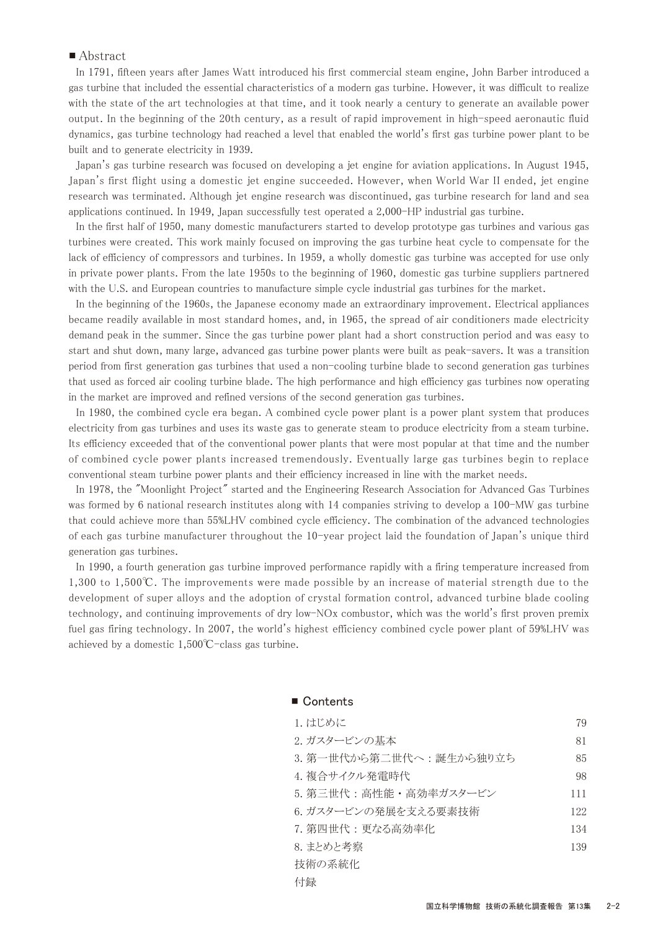### ■ Abstract

 In 1791, fifteen years after James Watt introduced his first commercial steam engine, John Barber introduced a gas turbine that included the essential characteristics of a modern gas turbine. However, it was difficult to realize with the state of the art technologies at that time, and it took nearly a century to generate an available power output. In the beginning of the 20th century, as a result of rapid improvement in high-speed aeronautic fluid dynamics, gas turbine technology had reached a level that enabled the world's first gas turbine power plant to be built and to generate electricity in 1939.

 Japan's gas turbine research was focused on developing a jet engine for aviation applications. In August 1945, Japan's first flight using a domestic jet engine succeeded. However, when World War II ended, jet engine research was terminated. Although jet engine research was discontinued, gas turbine research for land and sea applications continued. In 1949, Japan successfully test operated a 2,000-HP industrial gas turbine.

 In the first half of 1950, many domestic manufacturers started to develop prototype gas turbines and various gas turbines were created. This work mainly focused on improving the gas turbine heat cycle to compensate for the lack of efficiency of compressors and turbines. In 1959, a wholly domestic gas turbine was accepted for use only in private power plants. From the late 1950s to the beginning of 1960, domestic gas turbine suppliers partnered with the U.S. and European countries to manufacture simple cycle industrial gas turbines for the market.

 In the beginning of the 1960s, the Japanese economy made an extraordinary improvement. Electrical appliances became readily available in most standard homes, and, in 1965, the spread of air conditioners made electricity demand peak in the summer. Since the gas turbine power plant had a short construction period and was easy to start and shut down, many large, advanced gas turbine power plants were built as peak-savers. It was a transition period from first generation gas turbines that used a non-cooling turbine blade to second generation gas turbines that used as forced air cooling turbine blade. The high performance and high efficiency gas turbines now operating in the market are improved and refined versions of the second generation gas turbines.

 In 1980, the combined cycle era began. A combined cycle power plant is a power plant system that produces electricity from gas turbines and uses its waste gas to generate steam to produce electricity from a steam turbine. Its efficiency exceeded that of the conventional power plants that were most popular at that time and the number of combined cycle power plants increased tremendously. Eventually large gas turbines begin to replace conventional steam turbine power plants and their efficiency increased in line with the market needs.

 In 1978, the "Moonlight Project" started and the Engineering Research Association for Advanced Gas Turbines was formed by 6 national research institutes along with 14 companies striving to develop a 100-MW gas turbine that could achieve more than 55%LHV combined cycle efficiency. The combination of the advanced technologies of each gas turbine manufacturer throughout the 10-year project laid the foundation of Japan's unique third generation gas turbines.

 In 1990, a fourth generation gas turbine improved performance rapidly with a firing temperature increased from 1,300 to 1,500℃. The improvements were made possible by an increase of material strength due to the development of super alloys and the adoption of crystal formation control, advanced turbine blade cooling technology, and continuing improvements of dry low-NOx combustor, which was the world's first proven premix fuel gas firing technology. In 2007, the world's highest efficiency combined cycle power plant of 59%LHV was achieved by a domestic 1,500℃-class gas turbine.

| 1. はじめに                   | 79  |
|---------------------------|-----|
| 2. ガスタービンの基本              | 81  |
| 3. 第一世代から第二世代へ : 誕生から独り立ち | 85  |
| 4. 複合サイクル発電時代             | 98  |
| 5. 第三世代:高性能·高効率ガスタービン     | 111 |
| 6. ガスタービンの発展を支える要素技術      | 122 |
| 7. 第四世代 : 更なる高効率化         | 134 |
| 8. まとめと考察                 | 139 |
| 技術の系統化                    |     |
| 付録                        |     |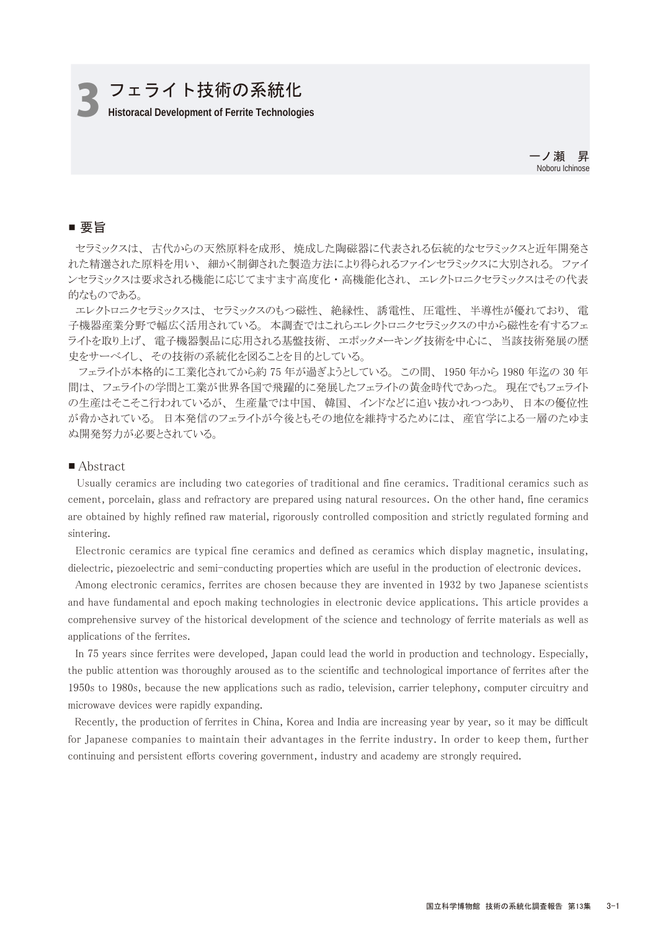## 3 **Historacal Development of Ferrite Technologies** フェライト技術の系統化

一ノ瀬 昇 Noboru Ichinose

## ■ 要旨

 セラミックスは、 古代からの天然原料を成形、 焼成した陶磁器に代表される伝統的なセラミックスと近年開発さ れた精選された原料を用い、 細かく制御された製造方法により得られるファインセラミックスに大別される。 ファイ ンセラミックスは要求される機能に応じてますます高度化 ・ 高機能化され、 エレクトロニクセラミックスはその代表 的なものである。

 エレクトロニクセラミックスは、 セラミックスのもつ磁性、 絶縁性、 誘電性、 圧電性、 半導性が優れており、 電 子機器産業分野で幅広く活用されている。 本調査ではこれらエレクトロニクセラミックスの中から磁性を有するフェ ライトを取り上げ、 電子機器製品に応用される基盤技術、 エポックメーキング技術を中心に、 当該技術発展の歴 史をサーベイし、 その技術の系統化を図ることを目的としている。

 フェライトが本格的に工業化されてから約 75 年が過ぎようとしている。 この間、 1950 年から 1980 年迄の 30 年 間は、 フェライトの学問と工業が世界各国で飛躍的に発展したフェライトの黄金時代であった。 現在でもフェライト の生産はそこそこ行われているが、 生産量では中国、 韓国、 インドなどに追い抜かれつつあり、 日本の優位性 が脅かされている。 日本発信のフェライトが今後ともその地位を維持するためには、 産官学による一層のたゆま ぬ開発努力が必要とされている。

#### ■ Abstract

Usually ceramics are including two categories of traditional and fine ceramics. Traditional ceramics such as cement, porcelain, glass and refractory are prepared using natural resources. On the other hand, fine ceramics are obtained by highly refined raw material, rigorously controlled composition and strictly regulated forming and sintering.

 Electronic ceramics are typical fine ceramics and defined as ceramics which display magnetic, insulating, dielectric, piezoelectric and semi-conducting properties which are useful in the production of electronic devices.

 Among electronic ceramics, ferrites are chosen because they are invented in 1932 by two Japanese scientists and have fundamental and epoch making technologies in electronic device applications. This article provides a comprehensive survey of the historical development of the science and technology of ferrite materials as well as applications of the ferrites.

 In 75 years since ferrites were developed, Japan could lead the world in production and technology. Especially, the public attention was thoroughly aroused as to the scientific and technological importance of ferrites after the 1950s to 1980s, because the new applications such as radio, television, carrier telephony, computer circuitry and microwave devices were rapidly expanding.

 Recently, the production of ferrites in China, Korea and India are increasing year by year, so it may be difficult for Japanese companies to maintain their advantages in the ferrite industry. In order to keep them, further continuing and persistent efforts covering government, industry and academy are strongly required.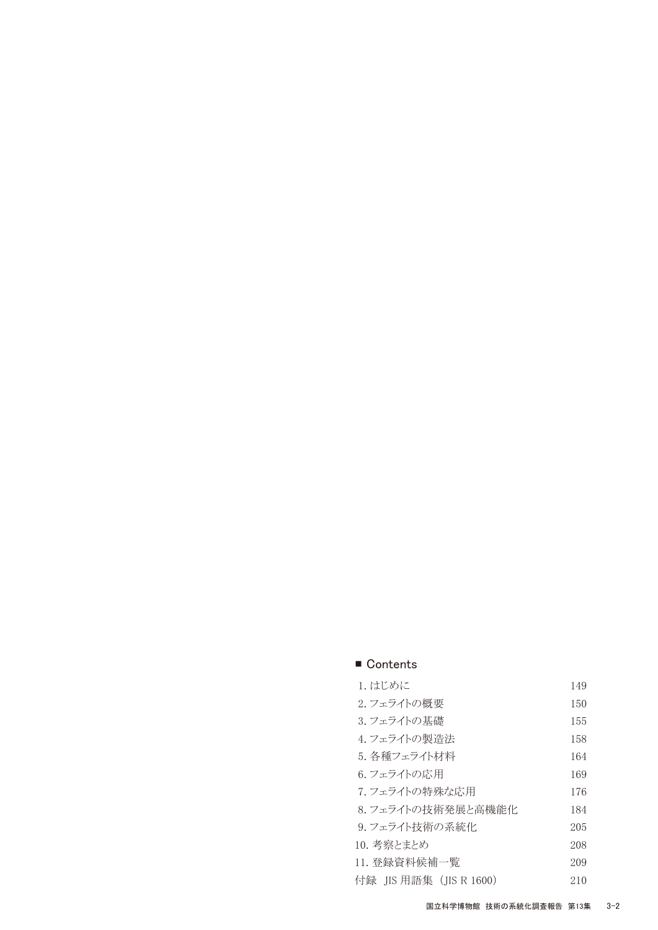| 1. はじめに                 | 149 |
|-------------------------|-----|
| 2. フェライトの概要             | 150 |
| 3. フェライトの基礎             | 155 |
| 4.フェライトの製造法             | 158 |
| 5. 各種フェライト材料            | 164 |
| 6. フェライトの応用             | 169 |
| 7. フェライトの特殊な応用          | 176 |
| 8. フェライトの技術発展と高機能化      | 184 |
| 9. フェライト技術の系統化          | 205 |
| 10. 考察とまとめ              | 208 |
| 11. 登録資料候補一覧            | 209 |
| 付録 JIS 用語集 (JIS R 1600) | 210 |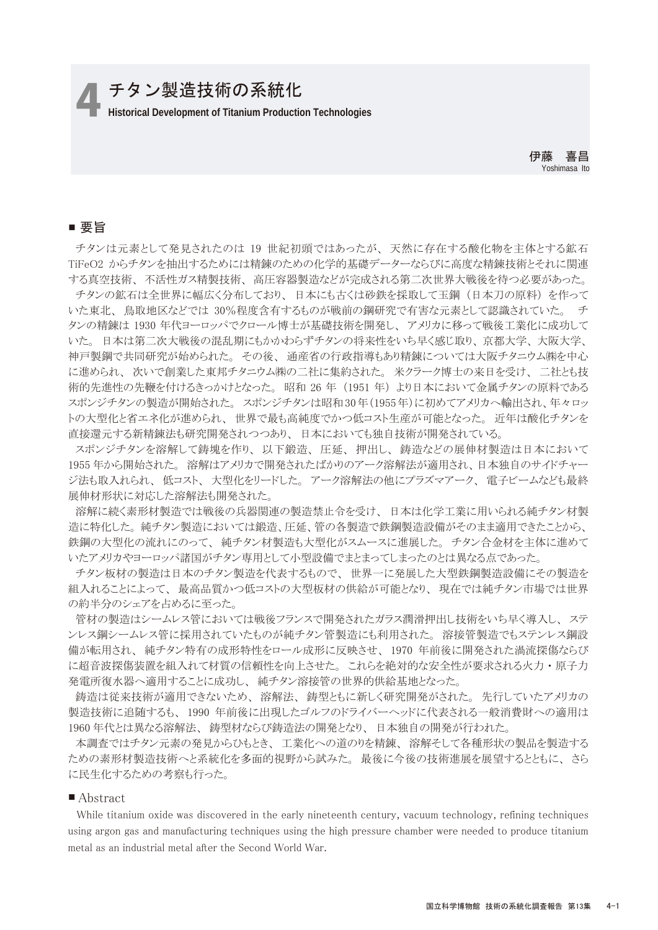## 4 **Historical Development of Titanium Production Technologies** チタン製造技術の系統化

## ■ 要旨

 チタンは元素として発見されたのは 19 世紀初頭ではあったが、 天然に存在する酸化物を主体とする鉱石 TiFeO2 からチタンを抽出するためには精錬のための化学的基礎データーならびに高度な精錬技術とそれに関連 する真空技術、 不活性ガス精製技術、 高圧容器製造などが完成される第二次世界大戦後を待つ必要があった。

 チタンの鉱石は全世界に幅広く分布しており、 日本にも古くは砂鉄を採取して玉鋼 (日本刀の原料) を作って いた東北、 鳥取地区などでは 30%程度含有するものが戦前の鋼研究で有害な元素として認識されていた。 チ タンの精錬は 1930 年代ヨーロッパでクロール博士が基礎技術を開発し、 アメリカに移って戦後工業化に成功して いた。 日本は第二次大戦後の混乱期にもかかわらずチタンの将来性をいち早く感じ取り、 京都大学、 大阪大学、 神戸製鋼で共同研究が始められた。 その後、 通産省の行政指導もあり精錬については大阪チタニウム㈱を中心 に進められ、 次いで創業した東邦チタニウム㈱の二社に集約された。 米クラーク博士の来日を受け、 二社とも技 術的先進性の先鞭を付けるきっかけとなった。 昭和 26 年 (1951 年) より日本において金属チタンの原料である スポンジチタンの製造が開始された。 スポンジチタンは昭和30年(1955年)に初めてアメリカへ輸出され、年々ロッ トの大型化と省エネ化が進められ、 世界で最も高純度でかつ低コスト生産が可能となった。 近年は酸化チタンを 直接還元する新精錬法も研究開発されつつあり、 日本においても独自技術が開発されている。

 スポンジチタンを溶解して鋳塊を作り、 以下鍛造、 圧延、 押出し、 鋳造などの展伸材製造は日本において 1955 年から開始された。 溶解はアメリカで開発されたばかりのアーク溶解法が適用され、日本独自のサイドチャー ジ法も取入れられ、 低コスト、 大型化をリードした。 アーク溶解法の他にプラズマアーク、 電子ビームなども最終 展伸材形状に対応した溶解法も開発された。

 溶解に続く素形材製造では戦後の兵器関連の製造禁止令を受け、 日本は化学工業に用いられる純チタン材製 造に特化した。 純チタン製造においては鍛造、圧延、管の各製造で鉄鋼製造設備がそのまま適用できたことから、 鉄鋼の大型化の流れにのって、 純チタン材製造も大型化がスムースに進展した。 チタン合金材を主体に進めて いたアメリカやヨーロッパ諸国がチタン専用として小型設備でまとまってしまったのとは異なる点であった。

 チタン板材の製造は日本のチタン製造を代表するもので、 世界一に発展した大型鉄鋼製造設備にその製造を 組入れることによって、 最高品質かつ低コストの大型板材の供給が可能となり、 現在では純チタン市場では世界 の約半分のシェアを占めるに至った。

 管材の製造はシームレス管においては戦後フランスで開発されたガラス潤滑押出し技術をいち早く導入し、 ステ ンレス鋼シームレス管に採用されていたものが純チタン管製造にも利用された。 溶接管製造でもステンレス鋼設 備が転用され、 純チタン特有の成形特性をロール成形に反映させ、 1970 年前後に開発された渦流探傷ならび に超音波探傷装置を組入れて材質の信頼性を向上させた。 これらを絶対的な安全性が要求される火力 ・ 原子力 発電所復水器へ適用することに成功し、 純チタン溶接管の世界的供給基地となった。

 鋳造は従来技術が適用できないため、 溶解法、 鋳型ともに新しく研究開発がされた。 先行していたアメリカの 製造技術に追随するも、 1990 年前後に出現したゴルフのドライバーヘッドに代表される一般消費財への適用は 1960 年代とは異なる溶解法、 鋳型材ならび鋳造法の開発となり、 日本独自の開発が行われた。

 本調査ではチタン元素の発見からひもとき、 工業化への道のりを精錬、 溶解そして各種形状の製品を製造する ための素形材製造技術へと系統化を多面的視野から試みた。 最後に今後の技術進展を展望するとともに、 さら に民生化するための考察も行った。

#### ■ Abstract

While titanium oxide was discovered in the early nineteenth century, vacuum technology, refining techniques using argon gas and manufacturing techniques using the high pressure chamber were needed to produce titanium metal as an industrial metal after the Second World War.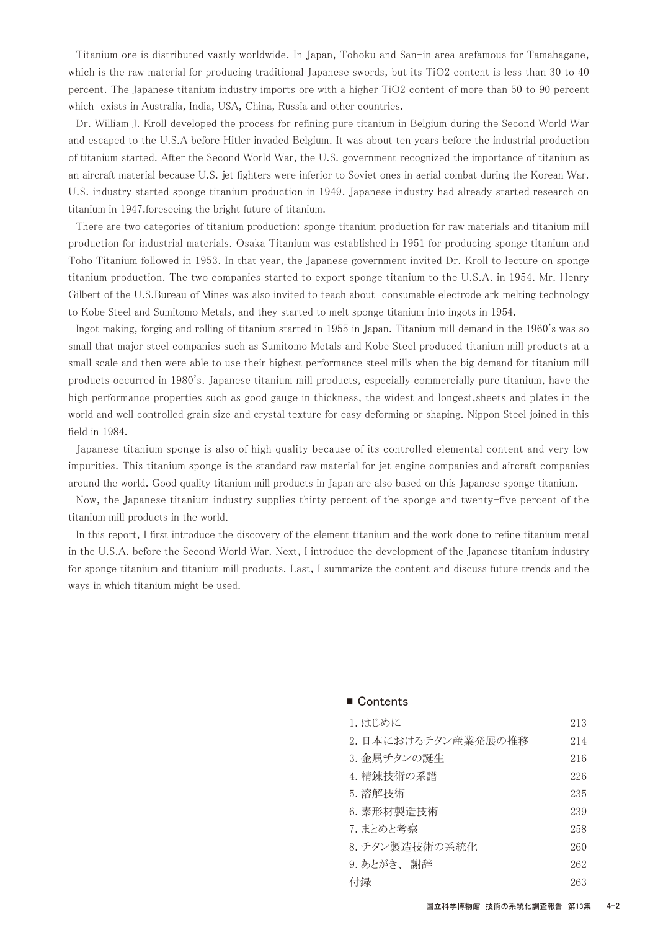Titanium ore is distributed vastly worldwide. In Japan, Tohoku and San-in area arefamous for Tamahagane, which is the raw material for producing traditional Japanese swords, but its TiO2 content is less than 30 to 40 percent. The Japanese titanium industry imports ore with a higher TiO2 content of more than 50 to 90 percent which exists in Australia, India, USA, China, Russia and other countries.

 Dr. William J. Kroll developed the process for refining pure titanium in Belgium during the Second World War and escaped to the U.S.A before Hitler invaded Belgium. It was about ten years before the industrial production of titanium started. After the Second World War, the U.S. government recognized the importance of titanium as an aircraft material because U.S. jet fighters were inferior to Soviet ones in aerial combat during the Korean War. U.S. industry started sponge titanium production in 1949. Japanese industry had already started research on titanium in 1947.foreseeing the bright future of titanium.

 There are two categories of titanium production: sponge titanium production for raw materials and titanium mill production for industrial materials. Osaka Titanium was established in 1951 for producing sponge titanium and Toho Titanium followed in 1953. In that year, the Japanese government invited Dr. Kroll to lecture on sponge titanium production. The two companies started to export sponge titanium to the U.S.A. in 1954. Mr. Henry Gilbert of the U.S.Bureau of Mines was also invited to teach about consumable electrode ark melting technology to Kobe Steel and Sumitomo Metals, and they started to melt sponge titanium into ingots in 1954.

 Ingot making, forging and rolling of titanium started in 1955 in Japan. Titanium mill demand in the 1960's was so small that major steel companies such as Sumitomo Metals and Kobe Steel produced titanium mill products at a small scale and then were able to use their highest performance steel mills when the big demand for titanium mill products occurred in 1980's. Japanese titanium mill products, especially commercially pure titanium, have the high performance properties such as good gauge in thickness, the widest and longest,sheets and plates in the world and well controlled grain size and crystal texture for easy deforming or shaping. Nippon Steel joined in this field in 1984.

 Japanese titanium sponge is also of high quality because of its controlled elemental content and very low impurities. This titanium sponge is the standard raw material for jet engine companies and aircraft companies around the world. Good quality titanium mill products in Japan are also based on this Japanese sponge titanium.

 Now, the Japanese titanium industry supplies thirty percent of the sponge and twenty-five percent of the titanium mill products in the world.

 In this report, I first introduce the discovery of the element titanium and the work done to refine titanium metal in the U.S.A. before the Second World War. Next, I introduce the development of the Japanese titanium industry for sponge titanium and titanium mill products. Last, I summarize the content and discuss future trends and the ways in which titanium might be used.

| 1. はじめに            | 213 |
|--------------------|-----|
| 2.日本におけるチタン産業発展の推移 | 214 |
| 3. 金属チタンの誕生        | 216 |
| 4. 精錬技術の系譜         | 226 |
| 5. 溶解技術            | 235 |
| 6. 素形材製造技術         | 239 |
| 7. まとめと考察          | 258 |
| 8. チタン製造技術の系統化     | 260 |
| 9.あとがき、 謝辞         | 262 |
| 付録                 | 263 |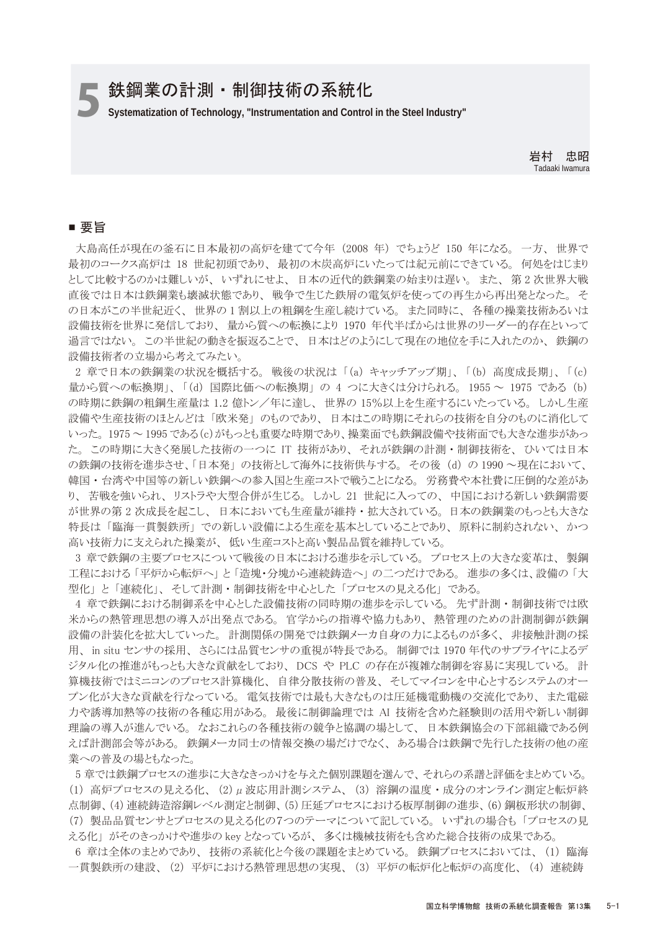## 鉄鋼業の計測・制御技術の系統化

5**Systematization of Technology, "Instrumentation and Control in the Steel Industry"**

岩村 忠昭 Tadaaki Iwamura

### ■ 要旨

 大島高任が現在の釜石に日本最初の高炉を建てて今年 (2008 年) でちょうど 150 年になる。 一方、 世界で 最初のコークス高炉は 18 世紀初頭であり、 最初の木炭高炉にいたっては紀元前にできている。 何処をはじまり として比較するのかは難しいが、 いずれにせよ、 日本の近代的鉄鋼業の始まりは遅い。 また、 第 2 次世界大戦 直後では日本は鉄鋼業も壊滅状態であり、 戦争で生じた鉄屑の電気炉を使っての再生から再出発となった。 そ の日本がこの半世紀近く、 世界の 1 割以上の粗鋼を生産し続けている。 また同時に、 各種の操業技術あるいは 設備技術を世界に発信しており、 量から質への転換により 1970 年代半ばからは世界のリーダー的存在といって 過言ではない。 この半世紀の動きを振返ることで、 日本はどのようにして現在の地位を手に入れたのか、 鉄鋼の 設備技術者の立場から考えてみたい。

 2 章で日本の鉄鋼業の状況を概括する。 戦後の状況は 「(a) キャッチアップ期」、 「(b) 高度成長期」、 「(c) 量から質への転換期」、 「(d) 国際比価への転換期」 の 4 つに大きくは分けられる。 1955 ~ 1975 である (b) の時期に鉄鋼の粗鋼生産量は 1.2 億トン/年に達し、 世界の 15%以上を生産するにいたっている。 しかし生産 設備や生産技術のほとんどは 「欧米発」 のものであり、 日本はこの時期にそれらの技術を自分のものに消化して いった。 1975 ~ 1995 である(c)がもっとも重要な時期であり、操業面でも鉄鋼設備や技術面でも大きな進歩があっ た。 この時期に大きく発展した技術の一つに IT 技術があり、 それが鉄鋼の計測 ・ 制御技術を、 ひいては日本 の鉄鋼の技術を進歩させ、「日本発」 の技術として海外に技術供与する。 その後 (d) の 1990 ~現在において、 韓国 ・ 台湾や中国等の新しい鉄鋼への参入国と生産コストで戦うことになる。 労務費や本社費に圧倒的な差があ り、 苦戦を強いられ、 リストラや大型合併が生じる。 しかし 21 世紀に入っての、 中国における新しい鉄鋼需要 が世界の第 2 次成長を起こし、 日本においても生産量が維持 ・ 拡大されている。 日本の鉄鋼業のもっとも大きな 特長は 「臨海一貫製鉄所」 での新しい設備による生産を基本としていることであり、 原料に制約されない、 かつ 高い技術力に支えられた操業が、 低い生産コストと高い製品品質を維持している。

 3 章で鉄鋼の主要プロセスについて戦後の日本における進歩を示している。 プロセス上の大きな変革は、 製鋼 工程における 「平炉から転炉へ」と 「造塊・分塊から連続鋳造へ」 の二つだけである。 進歩の多くは、設備の 「大 型化」 と 「連続化」、 そして計測 ・ 制御技術を中心とした 「プロセスの見える化」 である。

 4 章で鉄鋼における制御系を中心とした設備技術の同時期の進歩を示している。 先ず計測 ・ 制御技術では欧 米からの熱管理思想の導入が出発点である。 官学からの指導や協力もあり、 熱管理のための計測制御が鉄鋼 設備の計装化を拡大していった。 計測関係の開発では鉄鋼メーカ自身の力によるものが多く、 非接触計測の採 用、 in situ センサの採用、 さらには品質センサの重視が特長である。 制御では 1970 年代のサプライヤによるデ ジタル化の推進がもっとも大きな貢献をしており、 DCS や PLC の存在が複雑な制御を容易に実現している。 計 算機技術ではミニコンのプロセス計算機化、 自律分散技術の普及、 そしてマイコンを中心とするシステムのオー プン化が大きな貢献を行なっている。 電気技術では最も大きなものは圧延機電動機の交流化であり、 また電磁 力や誘導加熱等の技術の各種応用がある。 最後に制御論理では AI 技術を含めた経験則の活用や新しい制御 理論の導入が進んでいる。 なおこれらの各種技術の競争と協調の場として、 日本鉄鋼協会の下部組織である例 えば計測部会等がある。 鉄鋼メーカ同士の情報交換の場だけでなく、 ある場合は鉄鋼で先行した技術の他の産 業への普及の場ともなった。

 5 章では鉄鋼プロセスの進歩に大きなきっかけを与えた個別課題を選んで、 それらの系譜と評価をまとめている。 (1) 高炉プロセスの見える化、 (2)μ波応用計測システム、 (3) 溶鋼の温度 ・ 成分のオンライン測定と転炉終 点制御、(4)連続鋳造溶鋼レベル測定と制御、(5)圧延プロセスにおける板厚制御の進歩、(6)鋼板形状の制御、 (7) 製品品質センサとプロセスの見える化の7つのテーマについて記している。 いずれの場合も 「プロセスの見 える化」 がそのきっかけや進歩の key となっているが、 多くは機械技術をも含めた総合技術の成果である。

 6 章は全体のまとめであり、 技術の系統化と今後の課題をまとめている。 鉄鋼プロセスにおいては、 (1) 臨海 一貫製鉄所の建設、 (2) 平炉における熱管理思想の実現、 (3) 平炉の転炉化と転炉の高度化、 (4) 連続鋳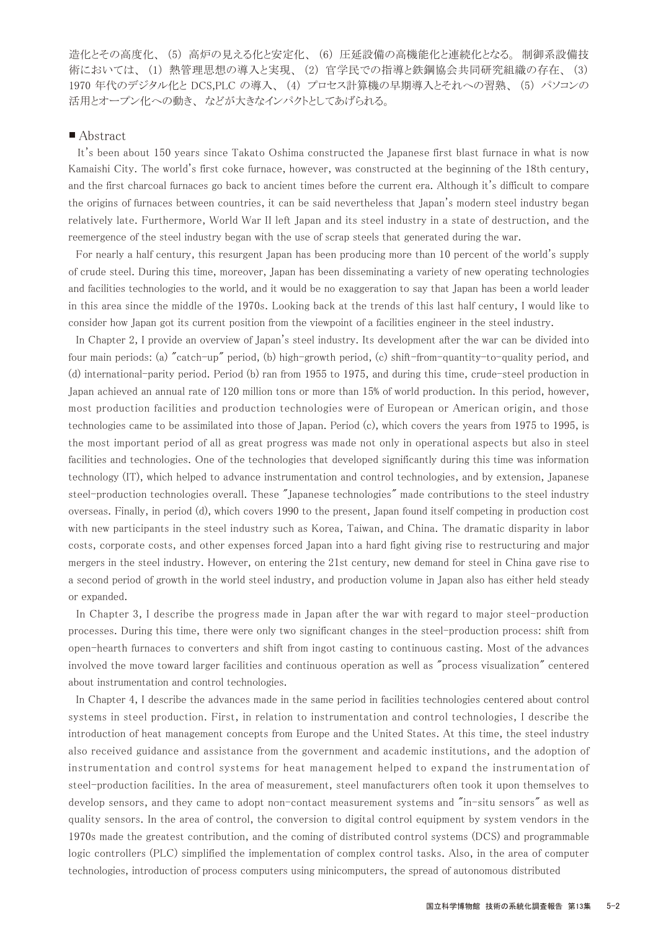造化とその高度化、 (5) 高炉の見える化と安定化、 (6) 圧延設備の高機能化と連続化となる。 制御系設備技 術においては、 (1) 熱管理思想の導入と実現、 (2) 官学民での指導と鉄鋼協会共同研究組織の存在、 (3) 1970 年代のデジタル化と DCS,PLC の導入、 (4) プロセス計算機の早期導入とそれへの習熟、 (5) パソコンの 活用とオープン化への動き、 などが大きなインパクトとしてあげられる。

#### ■ Abstract

It's been about 150 years since Takato Oshima constructed the Japanese first blast furnace in what is now Kamaishi City. The world's first coke furnace, however, was constructed at the beginning of the 18th century, and the first charcoal furnaces go back to ancient times before the current era. Although it's difficult to compare the origins of furnaces between countries, it can be said nevertheless that Japan's modern steel industry began relatively late. Furthermore, World War II left Japan and its steel industry in a state of destruction, and the reemergence of the steel industry began with the use of scrap steels that generated during the war.

 For nearly a half century, this resurgent Japan has been producing more than 10 percent of the world's supply of crude steel. During this time, moreover, Japan has been disseminating a variety of new operating technologies and facilities technologies to the world, and it would be no exaggeration to say that Japan has been a world leader in this area since the middle of the 1970s. Looking back at the trends of this last half century, I would like to consider how Japan got its current position from the viewpoint of a facilities engineer in the steel industry.

 In Chapter 2, I provide an overview of Japan's steel industry. Its development after the war can be divided into four main periods: (a) "catch-up" period, (b) high-growth period, (c) shift-from-quantity-to-quality period, and (d) international-parity period. Period (b) ran from 1955 to 1975, and during this time, crude-steel production in Japan achieved an annual rate of 120 million tons or more than 15% of world production. In this period, however, most production facilities and production technologies were of European or American origin, and those technologies came to be assimilated into those of Japan. Period (c), which covers the years from 1975 to 1995, is the most important period of all as great progress was made not only in operational aspects but also in steel facilities and technologies. One of the technologies that developed significantly during this time was information technology (IT), which helped to advance instrumentation and control technologies, and by extension, Japanese steel-production technologies overall. These "Japanese technologies" made contributions to the steel industry overseas. Finally, in period (d), which covers 1990 to the present, Japan found itself competing in production cost with new participants in the steel industry such as Korea, Taiwan, and China. The dramatic disparity in labor costs, corporate costs, and other expenses forced Japan into a hard fight giving rise to restructuring and major mergers in the steel industry. However, on entering the 21st century, new demand for steel in China gave rise to a second period of growth in the world steel industry, and production volume in Japan also has either held steady or expanded.

 In Chapter 3, I describe the progress made in Japan after the war with regard to major steel-production processes. During this time, there were only two significant changes in the steel-production process: shift from open-hearth furnaces to converters and shift from ingot casting to continuous casting. Most of the advances involved the move toward larger facilities and continuous operation as well as "process visualization" centered about instrumentation and control technologies.

 In Chapter 4, I describe the advances made in the same period in facilities technologies centered about control systems in steel production. First, in relation to instrumentation and control technologies, I describe the introduction of heat management concepts from Europe and the United States. At this time, the steel industry also received guidance and assistance from the government and academic institutions, and the adoption of instrumentation and control systems for heat management helped to expand the instrumentation of steel-production facilities. In the area of measurement, steel manufacturers often took it upon themselves to develop sensors, and they came to adopt non-contact measurement systems and "in-situ sensors" as well as quality sensors. In the area of control, the conversion to digital control equipment by system vendors in the 1970s made the greatest contribution, and the coming of distributed control systems (DCS) and programmable logic controllers (PLC) simplified the implementation of complex control tasks. Also, in the area of computer technologies, introduction of process computers using minicomputers, the spread of autonomous distributed